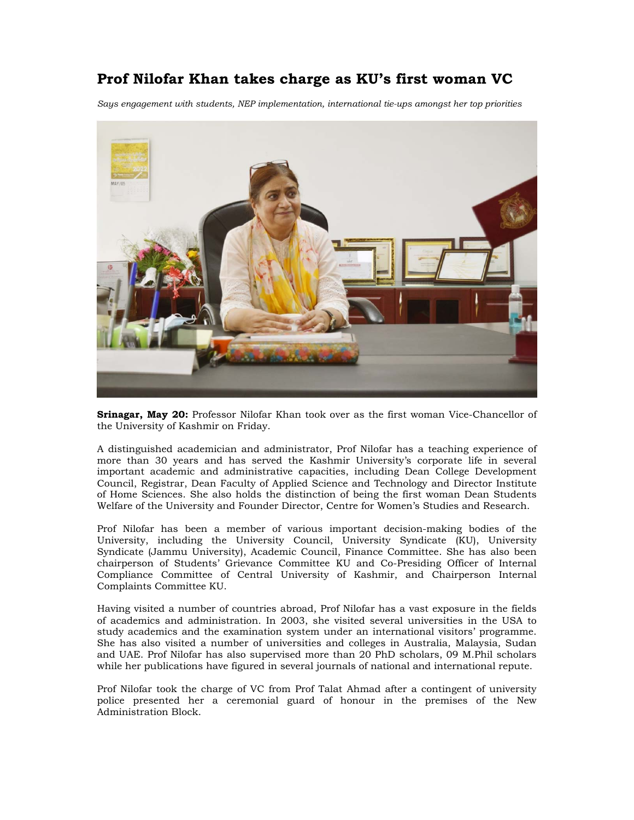## **Prof Nilofar Khan takes charge as KU's first woman VC**

*Says engagement with students, NEP implementation, international tie-ups amongst her top priorities* 



**Srinagar, May 20:** Professor Nilofar Khan took over as the first woman Vice-Chancellor of the University of Kashmir on Friday.

A distinguished academician and administrator, Prof Nilofar has a teaching experience of more than 30 years and has served the Kashmir University's corporate life in several important academic and administrative capacities, including Dean College Development Council, Registrar, Dean Faculty of Applied Science and Technology and Director Institute of Home Sciences. She also holds the distinction of being the first woman Dean Students Welfare of the University and Founder Director, Centre for Women's Studies and Research.

Prof Nilofar has been a member of various important decision-making bodies of the University, including the University Council, University Syndicate (KU), University Syndicate (Jammu University), Academic Council, Finance Committee. She has also been chairperson of Students' Grievance Committee KU and Co-Presiding Officer of Internal Compliance Committee of Central University of Kashmir, and Chairperson Internal Complaints Committee KU.

Having visited a number of countries abroad, Prof Nilofar has a vast exposure in the fields of academics and administration. In 2003, she visited several universities in the USA to study academics and the examination system under an international visitors' programme. She has also visited a number of universities and colleges in Australia, Malaysia, Sudan and UAE. Prof Nilofar has also supervised more than 20 PhD scholars, 09 M.Phil scholars while her publications have figured in several journals of national and international repute.

Prof Nilofar took the charge of VC from Prof Talat Ahmad after a contingent of university police presented her a ceremonial guard of honour in the premises of the New Administration Block.